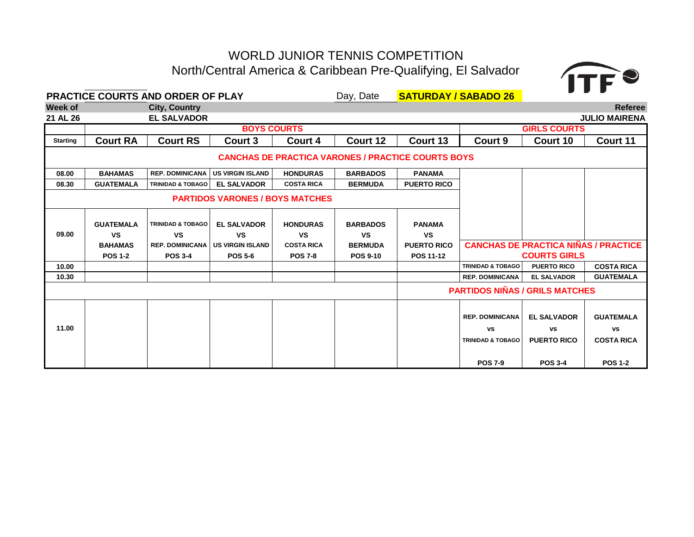# WORLD JUNIOR TENNIS COMPETITION North/Central America & Caribbean Pre-Qualifying, El Salvador



|                 |                  | PRACTICE COURTS AND ORDER OF PLAY |                                        |                   | Day, Date       | <b>SATURDAY / SABADO 26</b>                               |                                       |                                             |                      |
|-----------------|------------------|-----------------------------------|----------------------------------------|-------------------|-----------------|-----------------------------------------------------------|---------------------------------------|---------------------------------------------|----------------------|
| <b>Week of</b>  |                  | <b>City, Country</b>              |                                        |                   |                 |                                                           |                                       |                                             | <b>Referee</b>       |
| 21 AL 26        |                  | <b>EL SALVADOR</b>                |                                        |                   |                 |                                                           |                                       |                                             | <b>JULIO MAIRENA</b> |
|                 |                  |                                   | <b>BOYS COURTS</b>                     |                   |                 |                                                           |                                       | <b>GIRLS COURTS</b>                         |                      |
| <b>Starting</b> | <b>Court RA</b>  | <b>Court RS</b>                   | Court 3                                | Court 4           | Court 12        | Court 13                                                  | Court 9                               | Court 10                                    | Court 11             |
|                 |                  |                                   |                                        |                   |                 | <b>CANCHAS DE PRACTICA VARONES / PRACTICE COURTS BOYS</b> |                                       |                                             |                      |
| 08.00           | <b>BAHAMAS</b>   | <b>REP. DOMINICANA</b>            | <b>US VIRGIN ISLAND</b>                | <b>HONDURAS</b>   | <b>BARBADOS</b> | <b>PANAMA</b>                                             |                                       |                                             |                      |
| 08.30           | <b>GUATEMALA</b> | <b>TRINIDAD &amp; TOBAGO</b>      | <b>EL SALVADOR</b>                     | <b>COSTA RICA</b> | <b>BERMUDA</b>  | <b>PUERTO RICO</b>                                        |                                       |                                             |                      |
|                 |                  |                                   | <b>PARTIDOS VARONES / BOYS MATCHES</b> |                   |                 |                                                           |                                       |                                             |                      |
|                 | <b>GUATEMALA</b> | <b>TRINIDAD &amp; TOBAGO</b>      | <b>EL SALVADOR</b>                     | <b>HONDURAS</b>   | <b>BARBADOS</b> | <b>PANAMA</b>                                             |                                       |                                             |                      |
| 09.00           | <b>VS</b>        | <b>VS</b>                         | <b>VS</b>                              | <b>VS</b>         | VS              | <b>VS</b>                                                 |                                       |                                             |                      |
|                 | <b>BAHAMAS</b>   | <b>REP. DOMINICANA</b>            | <b>US VIRGIN ISLAND</b>                | <b>COSTA RICA</b> | <b>BERMUDA</b>  | <b>PUERTO RICO</b>                                        |                                       | <b>CANCHAS DE PRACTICA NIÑAS / PRACTICE</b> |                      |
|                 | <b>POS 1-2</b>   | <b>POS 3-4</b>                    | <b>POS 5-6</b>                         | <b>POS 7-8</b>    | <b>POS 9-10</b> | <b>POS 11-12</b>                                          |                                       | <b>COURTS GIRLS</b>                         |                      |
| 10.00           |                  |                                   |                                        |                   |                 |                                                           | <b>TRINIDAD &amp; TOBAGO</b>          | <b>PUERTO RICO</b>                          | <b>COSTA RICA</b>    |
| 10.30           |                  |                                   |                                        |                   |                 |                                                           | <b>REP. DOMINICANA</b>                | <b>EL SALVADOR</b>                          | <b>GUATEMALA</b>     |
|                 |                  |                                   |                                        |                   |                 |                                                           | <b>PARTIDOS NIÑAS / GRILS MATCHES</b> |                                             |                      |
|                 |                  |                                   |                                        |                   |                 |                                                           | <b>REP. DOMINICANA</b>                | <b>EL SALVADOR</b>                          | <b>GUATEMALA</b>     |
| 11.00           |                  |                                   |                                        |                   |                 |                                                           | <b>VS</b>                             | <b>VS</b>                                   | <b>vs</b>            |
|                 |                  |                                   |                                        |                   |                 |                                                           | <b>TRINIDAD &amp; TOBAGO</b>          | <b>PUERTO RICO</b>                          | <b>COSTA RICA</b>    |
|                 |                  |                                   |                                        |                   |                 |                                                           | <b>POS 7-9</b>                        | <b>POS 3-4</b>                              | <b>POS 1-2</b>       |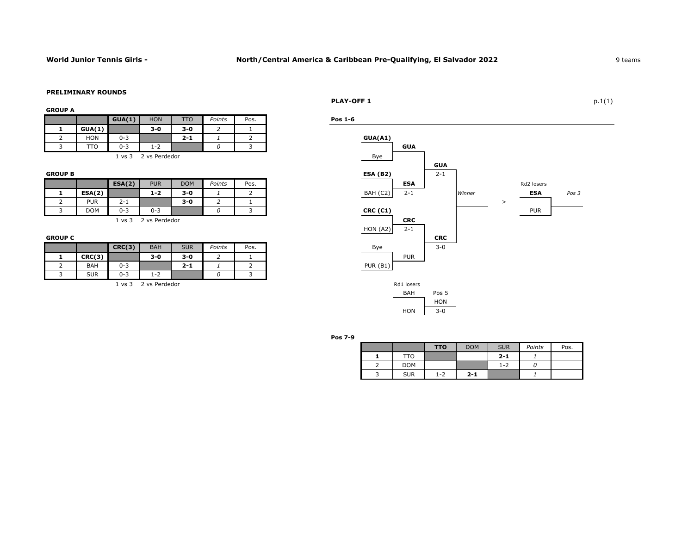### **PRELIMINARY ROUNDS**

### **GROUP A**

|            | GUA(1)            | <b>HON</b>    | TTO     | Points | Pos. | Pos 1-6 |            |
|------------|-------------------|---------------|---------|--------|------|---------|------------|
| GUA(1)     |                   | $3 - 0$       | $3 - 0$ |        |      |         |            |
| <b>HON</b> | $0 - 3$           |               | $2 - 1$ |        |      | GUA(41) |            |
| гто        | $0 - 3$           | $1 - 2$       |         |        |      |         | <b>GUA</b> |
|            | $1 \text{ vs } 3$ | 2 vs Perdedor |         |        |      | Bye     |            |

| <b>GROUP B</b> |            |         |               |            |        |      | <b>ESA (B2)</b> |            | $2 - 1$ |        |            |
|----------------|------------|---------|---------------|------------|--------|------|-----------------|------------|---------|--------|------------|
|                |            | ESA(2)  | <b>PUR</b>    | <b>DOM</b> | Points | Pos. |                 | <b>ESA</b> |         |        | Rd2 lose   |
|                | ESA(2)     |         | $1 - 2$       | $3-0$      |        |      | (C2)<br>BAH     | $2 - 1$    |         | Winner | <b>ESA</b> |
|                | <b>PUR</b> | 2-1     |               | $3 - 0$    |        |      |                 |            |         |        |            |
|                | <b>DOM</b> | $0 - 3$ | $0 - 3$       |            |        |      | <b>CRC (C1)</b> |            |         |        | <b>PUR</b> |
|                |            | . vs 3  | 2 vs Perdedor |            |        |      |                 | <b>CRC</b> |         |        |            |

|            | CRC(3)  | <b>BAH</b>                      | <b>SUR</b> | Points | Pos. | Bye             | $3 - 0$ |
|------------|---------|---------------------------------|------------|--------|------|-----------------|---------|
| CRC(3)     |         | $3 - 0$                         | $3 - 0$    | -      |      | <b>PUR</b>      |         |
| <b>BAH</b> | $0 - 3$ |                                 | $2 - 1$    |        | ∸    | <b>PUR (B1)</b> |         |
| <b>SUR</b> | $0 - 3$ | $\overline{\phantom{a}}$<br>1-2 |            |        |      |                 |         |

### **PLAY-OFF 1** p.1(1)







**Pos 7-9**

|            | <b>TTO</b> | <b>DOM</b> | <b>SUR</b> | Points | Pos. |
|------------|------------|------------|------------|--------|------|
| ΠО         |            |            | $2 - 1$    |        |      |
| <b>DOM</b> |            |            | $1 - 2$    |        |      |
| <b>SUR</b> | 1-2        | $2 - 1$    |            |        |      |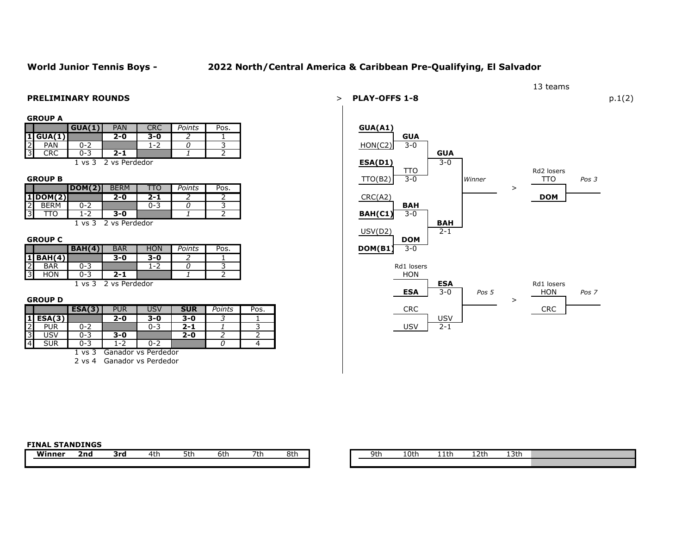## **World Junior Tennis Boys - 2022 North/Central America & Caribbean Pre-Qualifying, El Salvador**

| GROUP |  |
|-------|--|
|-------|--|

|                | $\mathbf{u}$ |                          |                                                      |            |        |      |
|----------------|--------------|--------------------------|------------------------------------------------------|------------|--------|------|
|                |              | GUA(1)                   | <b>PAN</b>                                           | <b>CRC</b> | Points | Pos. |
|                | 1 GUA(1)     |                          | $2 - 0$                                              | 3-0        |        |      |
| $\overline{2}$ | <b>PAN</b>   | በ-2                      |                                                      | 1-2        |        |      |
| $\overline{3}$ | <b>CRC</b>   | ი-<br>ت                  | $2 - 1$                                              |            |        |      |
|                |              | $\overline{\phantom{0}}$ | $\overline{\phantom{0}}$<br>$\overline{\phantom{a}}$ |            |        |      |

|                |             | DOM(2)                               | <b>BERM</b>      | ப⊾  | Points | Pos. |
|----------------|-------------|--------------------------------------|------------------|-----|--------|------|
|                | 1 DOM(2)    |                                      | $2 - 0$          | - פ |        |      |
| $\overline{2}$ | <b>BERM</b> | $\overline{\phantom{a}}$<br>∩–       |                  | د-0 |        |      |
| $\overline{3}$ | TC          | $\overline{\phantom{0}}$<br><u>_</u> | $3 - 0$          |     |        |      |
|                |             | $\cdots$ $\sim$                      | n and neaded and |     |        |      |

|                           | BAH(4)                          | <b>BAR</b> | <b>HON</b> | Points | Pos. |
|---------------------------|---------------------------------|------------|------------|--------|------|
| $1$ BAH $(4)$             |                                 | $3 - 0$    | 3-0        |        |      |
| $\sim$<br><b>BAR</b><br>∠ | $\overline{\phantom{0}}$<br>0-: |            | 1-2        |        |      |
| ਼।<br>HON<br>پ            | 0-:<br>∽                        | 2-1        |            |        |      |

|                 |            | ESA(3)   | <b>PUR</b>               | USV | <b>SUR</b> | Points | Pos. |
|-----------------|------------|----------|--------------------------|-----|------------|--------|------|
|                 | $1$ ESA(3) |          | 2-0                      | 3-0 | 3-0        |        |      |
| $\overline{2}$  | <b>PUR</b> | $0 - 2$  |                          | 0-3 | $2 - 1$    |        |      |
| $\overline{3}$  | <b>USV</b> | 0-3      | 3-0                      |     | 2-0        |        |      |
| $\overline{14}$ | <b>SUR</b> | O-:<br>- | $\overline{\phantom{a}}$ | 0-2 |            |        |      |

1 vs 3 Ganador vs Perdedor

2 vs 4 Ganador vs Perdedor



## **FINAL STANDINGS**

| 9H<br>. | 10tł | 11th | ຳ+<br>ᅩㄥ |
|---------|------|------|----------|
|         |      |      |          |

| ۹t۲<br>ษต | nth.<br>. | ⊥1th | $7 + h$ | .3th |
|-----------|-----------|------|---------|------|
|           |           |      |         |      |

13 teams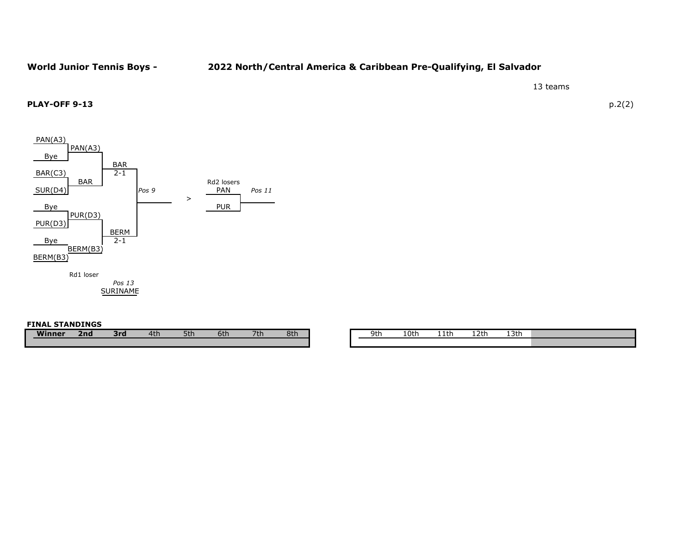# **World Junior Tennis Boys - 2022 North/Central America & Caribbean Pre-Qualifying, El Salvador**

13 teams

## **PLAY-OFF 9-13** p.2(2)



### **FINAL STANDINGS**

| 8th |
|-----|
|     |

| ີ<br>יי<br>╯ч | .<br>. .<br>. | . .<br><br>---- | 11 H<br>. .<br>----<br>---- | יודי<br>--- |  |
|---------------|---------------|-----------------|-----------------------------|-------------|--|
|               |               |                 |                             |             |  |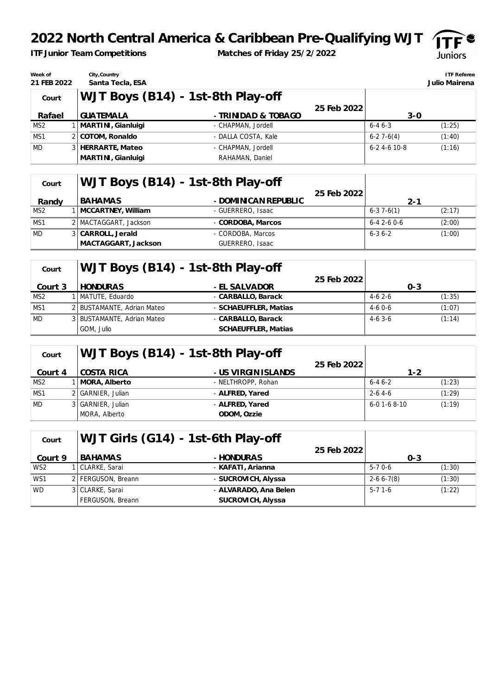# **2022 North Central America & Caribbean Pre-Qualifying WJT**

*ITF Junior Team Competitions*

**Matches of Friday 25/2/2022**



| Week of<br>21 FEB 2022 | City, Country<br>Santa Tecla, ESA |                                   |              |                    | <b>ITF Referee</b><br>Julio Mairena |
|------------------------|-----------------------------------|-----------------------------------|--------------|--------------------|-------------------------------------|
| Court                  |                                   | WJT Boys (B14) - 1st-8th Play-off |              |                    |                                     |
|                        |                                   |                                   | 25 Feb 20221 |                    |                                     |
| Rafael                 | <b>GUATEMALA</b>                  | - TRINIDAD & TOBAGO               |              | $3-0$              |                                     |
| MS <sub>2</sub>        | 1   MARTINI, Gianluigi            | - CHAPMAN, Jordell                |              | $6 - 46 - 3$       | (1:25)                              |
| MS1                    | 2 COTOM, Ronaldo                  | - DALLA COSTA, Kale               |              | $6 - 27 - 6(4)$    | (1:40)                              |
| <b>MD</b>              | 3 HERRARTE, Mateo                 | - CHAPMAN, Jordell                |              | $6 - 24 - 610 - 8$ | (1:16)                              |
|                        | MARTINI , Gianluigi               | RAHAMAN, Daniel                   |              |                    |                                     |

| Court           | WJT Boys (B14) - 1st-8th Play-off |                      |              |                   |        |
|-----------------|-----------------------------------|----------------------|--------------|-------------------|--------|
|                 |                                   |                      | 25 Feb 20221 |                   |        |
| Randy           | BAHAMAS                           | - DOMINICAN REPUBLIC |              | $2 - 1$           |        |
| MS <sub>2</sub> | 1   MCCARTNEY, William            | - GUERRERO, Isaac    |              | $6 - 37 - 6(1)$   | (2:17) |
| MS1             | 2 MACTAGGART, Jackson             | - CORDOBA, Marcos    |              | $6 - 42 - 60 - 6$ | (2:00) |
| <b>MD</b>       | 3 CARROLL, Jerald                 | - CORDOBA, Marcos    |              | $6 - 36 - 2$      | (1:00) |
|                 | MACTAGGART, Jackson               | GUERRERO, Isaac      |              |                   |        |

| Court           | WJT Boys (B14) - 1st-8th Play-off |                       |             |          |         |
|-----------------|-----------------------------------|-----------------------|-------------|----------|---------|
|                 |                                   |                       | 25 Feb 2022 |          |         |
| Court 3         | <b>HONDURAS</b>                   | - EL SALVADOR         |             |          | $0 - 3$ |
| MS <sub>2</sub> | 1   MATUTE, Eduardo               | - CARBALLO, Barack    |             | $4-62-6$ | (1:35)  |
| MS1             | 2 BUSTAMANTE, Adrian Mateo        | - SCHAEUFFLER, Matias |             | $4-60-6$ | (1:07)  |
| <b>MD</b>       | 3 BUSTAMANTE, Adrian Mateo        | - CARBALLO, Barack    |             | $4-63-6$ | (1:14)  |
|                 | GOM, Julio                        | SCHAEUFFLER, Matias   |             |          |         |

| Court           | WJT Boys (B14) - 1st-8th Play-off |                     |             |                    |        |
|-----------------|-----------------------------------|---------------------|-------------|--------------------|--------|
| Court 4         | COSTA RICA                        | - US VIRGIN ISLANDS | 25 Feb 2022 | $1 - 2$            |        |
| MS <sub>2</sub> | 1   MORA, Alberto                 | - NELTHROPP, Rohan  |             | $6 - 46 - 2$       | (1:23) |
| MS1             | 2 GARNIER, Julian                 | - ALFRED, Yared     |             | $2 - 64 - 6$       | (1:29) |
| <b>MD</b>       | 3 GARNIER, Julian                 | - ALFRED, Yared     |             | $6 - 01 - 68 - 10$ | (1:19) |
|                 | MORA, Alberto                     | ODOM, Ozzie         |             |                    |        |

| Court           | WJT Girls (G14) - 1st-6th Play-off |                       |              |                 |        |
|-----------------|------------------------------------|-----------------------|--------------|-----------------|--------|
| Court 9         | BAHAMAS                            | - HONDURAS            | 25 Feb 20221 | $O - 3$         |        |
| WS <sub>2</sub> | 1 CLARKE, Sarai                    | - KAFATI, Arianna     |              | $5-70-6$        | (1:30) |
| WS1             | 2 FERGUSON, Breann                 | - SUCROVICH, Alyssa   |              | $2 - 66 - 7(8)$ | (1:30) |
| <b>WD</b>       | 3 CLARKE, Sarai                    | - ALVARADO, Ana Belen |              | $5-71-6$        | (1:22) |
|                 | FERGUSON, Breann                   | SUCROVICH, Alyssa     |              |                 |        |